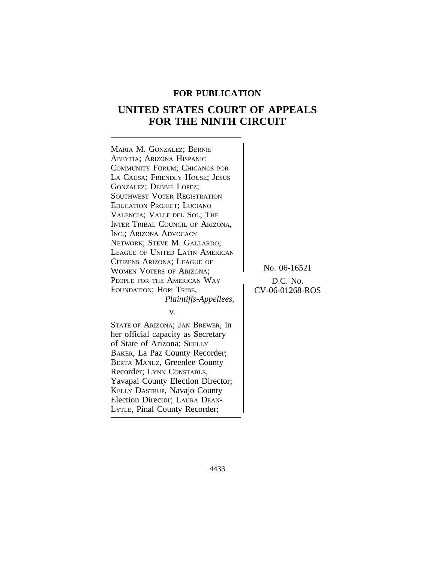# **FOR PUBLICATION**

# **UNITED STATES COURT OF APPEALS FOR THE NINTH CIRCUIT**

| MARIA M. GONZALEZ; BERNIE<br>ABEYTIA; ARIZONA HISPANIC<br>COMMUNITY FORUM; CHICANOS POR<br>LA CAUSA; FRIENDLY HOUSE; JESUS<br>GONZALEZ; DEBBIE LOPEZ;<br>SOUTHWEST VOTER REGISTRATION<br><b>EDUCATION PROJECT; LUCIANO</b><br>VALENCIA; VALLE DEL SOL; THE<br>INTER TRIBAL COUNCIL OF ARIZONA,<br>INC.; ARIZONA ADVOCACY<br>NETWORK; STEVE M. GALLARDO;<br>LEAGUE OF UNITED LATIN AMERICAN<br>CITIZENS ARIZONA; LEAGUE OF<br><b>WOMEN VOTERS OF ARIZONA;</b><br>PEOPLE FOR THE AMERICAN WAY | No.     |
|---------------------------------------------------------------------------------------------------------------------------------------------------------------------------------------------------------------------------------------------------------------------------------------------------------------------------------------------------------------------------------------------------------------------------------------------------------------------------------------------|---------|
| FOUNDATION; HOPI TRIBE,                                                                                                                                                                                                                                                                                                                                                                                                                                                                     | $CV-06$ |
| Plaintiffs-Appellees,                                                                                                                                                                                                                                                                                                                                                                                                                                                                       |         |
| V.                                                                                                                                                                                                                                                                                                                                                                                                                                                                                          |         |
| STATE OF ARIZONA; JAN BREWER, in<br>her official capacity as Secretary<br>of State of Arizona; SHELLY<br>BAKER, La Paz County Recorder;<br>BERTA MANUZ, Greenlee County<br>Recorder; LYNN CONSTABLE,<br>Yavapai County Election Director;<br>KELLY DASTRUP, Navajo County                                                                                                                                                                                                                   |         |

Election Director; LAURA DEAN-

<sup>L</sup>YTLE, Pinal County Recorder;

06-16521  $C. No.$ 6-01268-ROS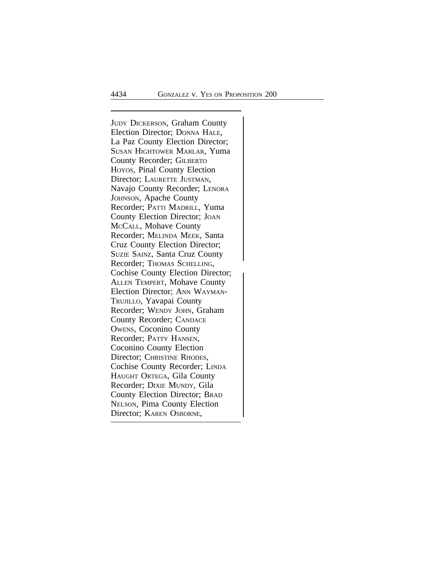<sup>J</sup>UDY DICKERSON, Graham County Election Director; DONNA HALE, La Paz County Election Director; SUSAN HIGHTOWER MARLAR, Yuma County Recorder; GILBERTO HOYOS, Pinal County Election Director; LAURETTE JUSTMAN, Navajo County Recorder; LENORA JOHNSON, Apache County Recorder; PATTI MADRILL, Yuma County Election Director; JOAN MCCALL, Mohave County Recorder; MELINDA MEEK, Santa Cruz County Election Director; SUZIE SAINZ, Santa Cruz County Recorder; Thomas SCHELLING, Cochise County Election Director; ALLEN TEMPERT, Mohave County Election Director; ANN WAYMAN-TRUJILLO, Yavapai County Recorder; WENDY JOHN, Graham County Recorder; CANDACE OWENS, Coconino County Recorder; PATTY HANSEN, Coconino County Election Director; CHRISTINE RHODES, Cochise County Recorder; LINDA HAUGHT ORTEGA, Gila County Recorder; DIXIE MUNDY, Gila County Election Director; BRAD NELSON, Pima County Election Director; KAREN OSBORNE,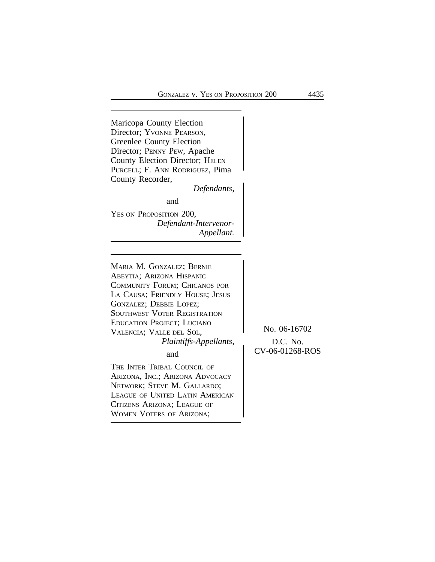Maricopa County Election Director; YVONNE PEARSON, Greenlee County Election Director; PENNY PEW, Apache County Election Director; HELEN PURCELL; F. ANN RODRIGUEZ, Pima County Recorder,

*Defendants,*

and

YES ON PROPOSITION 200, *Defendant-Intervenor-Appellant.*

<sup>M</sup>ARIA M. GONZALEZ; BERNIE ABEYTIA; ARIZONA HISPANIC COMMUNITY FORUM; CHICANOS POR LA CAUSA; FRIENDLY HOUSE; JESUS GONZALEZ; DEBBIE LOPEZ; SOUTHWEST VOTER REGISTRATION EDUCATION PROJECT; LUCIANO VALENCIA; VALLE DEL SOL, No. 06-16702 *Plaintiffs-Appellants,*  $\bigcap$  D.C. No.

THE INTER TRIBAL COUNCIL OF ARIZONA, INC.; ARIZONA ADVOCACY NETWORK; STEVE M. GALLARDO; LEAGUE OF UNITED LATIN AMERICAN CITIZENS ARIZONA; LEAGUE OF <sup>W</sup>OMEN VOTERS OF ARIZONA;

CV-06-01268-ROS and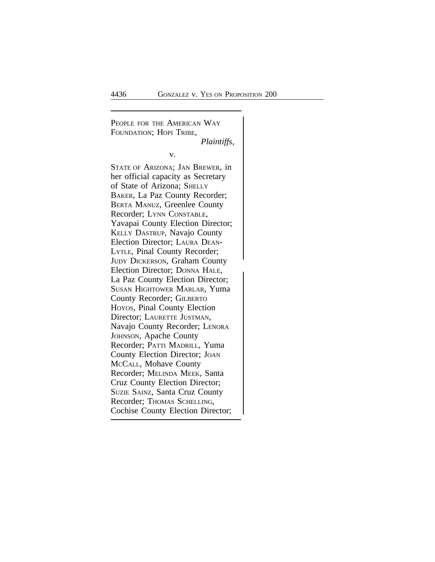PEOPLE FOR THE AMERICAN WAY FOUNDATION; HOPI TRIBE, *Plaintiffs,* v. STATE OF ARIZONA; JAN BREWER, in her official capacity as Secretary of State of Arizona; SHELLY BAKER, La Paz County Recorder; BERTA MANUZ, Greenlee County Recorder; LYNN CONSTABLE, Yavapai County Election Director; KELLY DASTRUP, Navajo County Election Director; LAURA DEAN-LYTLE, Pinal County Recorder; JUDY DICKERSON, Graham County Election Director; DONNA HALE, La Paz County Election Director; SUSAN HIGHTOWER MARLAR, Yuma County Recorder; GILBERTO HOYOS, Pinal County Election Director; LAURETTE JUSTMAN, Navajo County Recorder; LENORA JOHNSON, Apache County Recorder; PATTI MADRILL, Yuma County Election Director; JOAN MCCALL, Mohave County Recorder; MELINDA MEEK, Santa Cruz County Election Director; SUZIE SAINZ, Santa Cruz County Recorder; Thomas SCHELLING, Cochise County Election Director;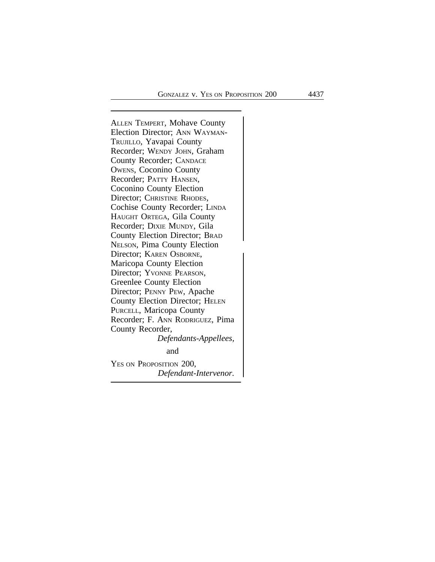<sup>A</sup>LLEN TEMPERT, Mohave County Election Director; ANN WAYMAN-TRUJILLO, Yavapai County Recorder; WENDY JOHN, Graham County Recorder; CANDACE OWENS, Coconino County Recorder; PATTY HANSEN, Coconino County Election Director; CHRISTINE RHODES, Cochise County Recorder; LINDA HAUGHT ORTEGA, Gila County Recorder; DIXIE MUNDY, Gila County Election Director; BRAD <sup>N</sup>ELSON, Pima County Election Director; KAREN OSBORNE, Maricopa County Election Director; YVONNE PEARSON, Greenlee County Election Director; PENNY PEW, Apache County Election Director; HELEN PURCELL, Maricopa County Recorder; F. ANN RODRIGUEZ, Pima County Recorder, *Defendants-Appellees,* and YES ON PROPOSITION 200, *Defendant-Intervenor.*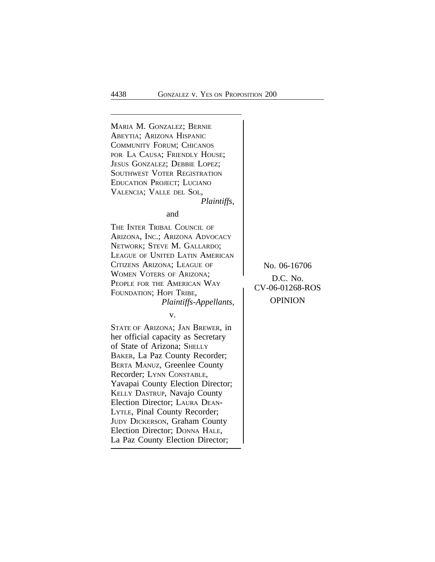<sup>M</sup>ARIA M. GONZALEZ; BERNIE ABEYTIA; ARIZONA HISPANIC COMMUNITY FORUM; CHICANOS POR LA CAUSA; FRIENDLY HOUSE; JESUS GONZALEZ; DEBBIE LOPEZ; SOUTHWEST VOTER REGISTRATION EDUCATION PROJECT; LUCIANO VALENCIA; VALLE DEL SOL, *Plaintiffs,* and THE INTER TRIBAL COUNCIL OF ARIZONA, INC.; ARIZONA ADVOCACY NETWORK; STEVE M. GALLARDO; LEAGUE OF UNITED LATIN AMERICAN CITIZENS ARIZONA; LEAGUE OF No. 06-16706 WOMEN VOTERS OF ARIZONA; WOMEN VOTERS OF ARIZONA,<br>
PEOPLE FOR THE AMERICAN WAY<br>
FOUNDATION; HOPI TRIBE,<br>
Plaintiffs-Appellants OPINION *Plaintiffs-Appellants,* v. STATE OF ARIZONA; JAN BREWER, in her official capacity as Secretary of State of Arizona; SHELLY BAKER, La Paz County Recorder; BERTA MANUZ, Greenlee County Recorder; LYNN CONSTABLE, Yavapai County Election Director; KELLY DASTRUP, Navajo County Election Director; LAURA DEAN-LYTLE, Pinal County Recorder; JUDY DICKERSON, Graham County Election Director; DONNA HALE, La Paz County Election Director;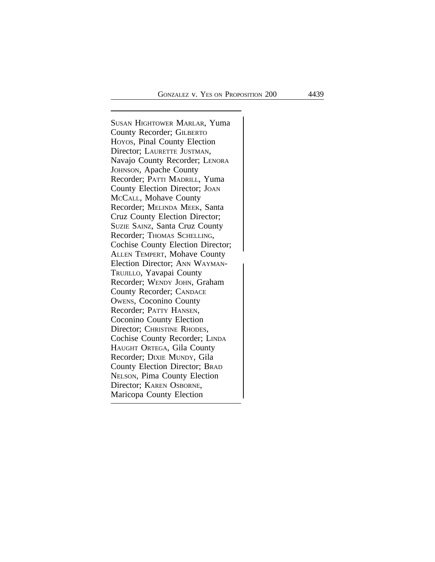<sup>S</sup>USAN HIGHTOWER MARLAR, Yuma County Recorder; GILBERTO HOYOS, Pinal County Election Director; LAURETTE JUSTMAN, Navajo County Recorder; LENORA JOHNSON, Apache County Recorder; PATTI MADRILL, Yuma County Election Director; JOAN MCCALL, Mohave County Recorder; MELINDA MEEK, Santa Cruz County Election Director; SUZIE SAINZ, Santa Cruz County Recorder; Thomas SCHELLING, Cochise County Election Director;<br>ALLEN TEMPERT, Mohave County Election Director; ANN WAYMAN-TRUJILLO, Yavapai County Recorder; WENDY JOHN, Graham County Recorder; CANDACE OWENS, Coconino County Recorder; PATTY HANSEN, Coconino County Election Director; CHRISTINE RHODES, Cochise County Recorder; LINDA HAUGHT ORTEGA, Gila County Recorder; DIXIE MUNDY, Gila County Election Director; BRAD NELSON, Pima County Election Director; KAREN OSBORNE, Maricopa County Election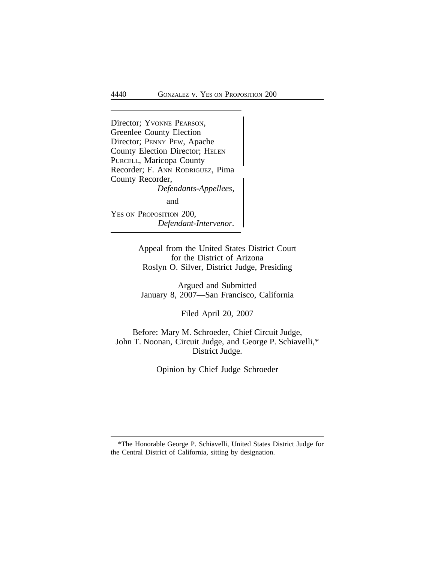Director; YVONNE PEARSON, Greenlee County Election Director; PENNY PEW, Apache County Election Director; HELEN PURCELL, Maricopa County Recorder; F. ANN RODRIGUEZ, Pima County Recorder, *Defendants-Appellees,* and YES ON PROPOSITION 200, *Defendant-Intervenor.*

> Appeal from the United States District Court for the District of Arizona Roslyn O. Silver, District Judge, Presiding

Argued and Submitted January 8, 2007—San Francisco, California

Filed April 20, 2007

Before: Mary M. Schroeder, Chief Circuit Judge, John T. Noonan, Circuit Judge, and George P. Schiavelli,\* District Judge.

Opinion by Chief Judge Schroeder

<sup>\*</sup>The Honorable George P. Schiavelli, United States District Judge for the Central District of California, sitting by designation.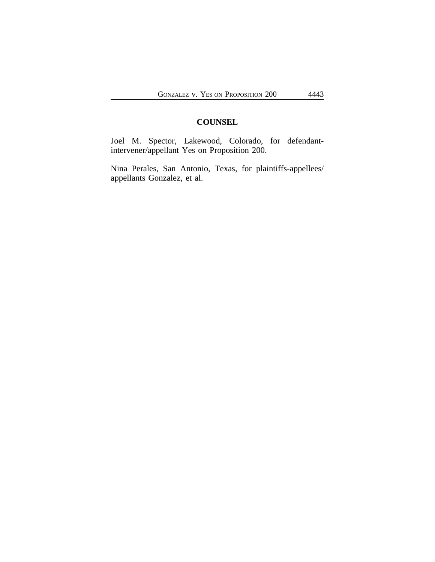# **COUNSEL**

Joel M. Spector, Lakewood, Colorado, for defendantintervener/appellant Yes on Proposition 200.

Nina Perales, San Antonio, Texas, for plaintiffs-appellees/ appellants Gonzalez, et al.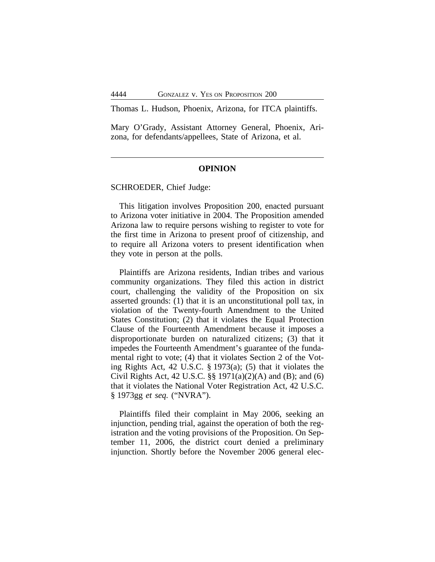Thomas L. Hudson, Phoenix, Arizona, for ITCA plaintiffs.

Mary O'Grady, Assistant Attorney General, Phoenix, Arizona, for defendants/appellees, State of Arizona, et al.

#### **OPINION**

SCHROEDER, Chief Judge:

This litigation involves Proposition 200, enacted pursuant to Arizona voter initiative in 2004. The Proposition amended Arizona law to require persons wishing to register to vote for the first time in Arizona to present proof of citizenship, and to require all Arizona voters to present identification when they vote in person at the polls.

Plaintiffs are Arizona residents, Indian tribes and various community organizations. They filed this action in district court, challenging the validity of the Proposition on six asserted grounds: (1) that it is an unconstitutional poll tax, in violation of the Twenty-fourth Amendment to the United States Constitution; (2) that it violates the Equal Protection Clause of the Fourteenth Amendment because it imposes a disproportionate burden on naturalized citizens; (3) that it impedes the Fourteenth Amendment's guarantee of the fundamental right to vote; (4) that it violates Section 2 of the Voting Rights Act, 42 U.S.C. § 1973(a); (5) that it violates the Civil Rights Act, 42 U.S.C. §§ 1971(a)(2)(A) and (B); and (6) that it violates the National Voter Registration Act, 42 U.S.C. § 1973gg *et seq.* ("NVRA").

Plaintiffs filed their complaint in May 2006, seeking an injunction, pending trial, against the operation of both the registration and the voting provisions of the Proposition. On September 11, 2006, the district court denied a preliminary injunction. Shortly before the November 2006 general elec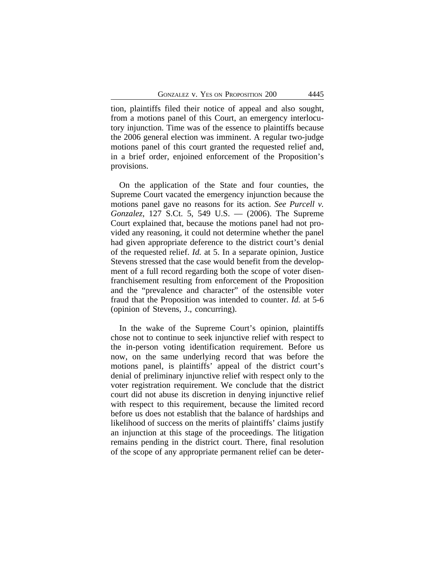tion, plaintiffs filed their notice of appeal and also sought, from a motions panel of this Court, an emergency interlocutory injunction. Time was of the essence to plaintiffs because the 2006 general election was imminent. A regular two-judge motions panel of this court granted the requested relief and, in a brief order, enjoined enforcement of the Proposition's provisions.

On the application of the State and four counties, the Supreme Court vacated the emergency injunction because the motions panel gave no reasons for its action. *See Purcell v. Gonzalez*, 127 S.Ct. 5, 549 U.S. — (2006). The Supreme Court explained that, because the motions panel had not provided any reasoning, it could not determine whether the panel had given appropriate deference to the district court's denial of the requested relief. *Id.* at 5. In a separate opinion, Justice Stevens stressed that the case would benefit from the development of a full record regarding both the scope of voter disenfranchisement resulting from enforcement of the Proposition and the "prevalence and character" of the ostensible voter fraud that the Proposition was intended to counter. *Id.* at 5-6 (opinion of Stevens, J., concurring).

In the wake of the Supreme Court's opinion, plaintiffs chose not to continue to seek injunctive relief with respect to the in-person voting identification requirement. Before us now, on the same underlying record that was before the motions panel, is plaintiffs' appeal of the district court's denial of preliminary injunctive relief with respect only to the voter registration requirement. We conclude that the district court did not abuse its discretion in denying injunctive relief with respect to this requirement, because the limited record before us does not establish that the balance of hardships and likelihood of success on the merits of plaintiffs' claims justify an injunction at this stage of the proceedings. The litigation remains pending in the district court. There, final resolution of the scope of any appropriate permanent relief can be deter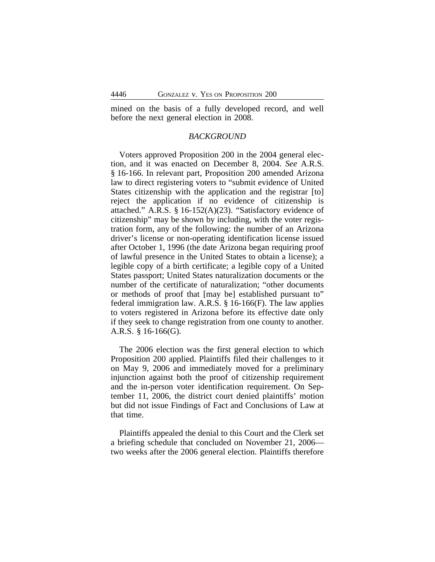mined on the basis of a fully developed record, and well before the next general election in 2008.

## *BACKGROUND*

Voters approved Proposition 200 in the 2004 general election, and it was enacted on December 8, 2004. *See* A.R.S. § 16-166. In relevant part, Proposition 200 amended Arizona law to direct registering voters to "submit evidence of United States citizenship with the application and the registrar [to] reject the application if no evidence of citizenship is attached." A.R.S. § 16-152(A)(23). "Satisfactory evidence of citizenship" may be shown by including, with the voter registration form, any of the following: the number of an Arizona driver's license or non-operating identification license issued after October 1, 1996 (the date Arizona began requiring proof of lawful presence in the United States to obtain a license); a legible copy of a birth certificate; a legible copy of a United States passport; United States naturalization documents or the number of the certificate of naturalization; "other documents or methods of proof that [may be] established pursuant to" federal immigration law. A.R.S. § 16-166(F). The law applies to voters registered in Arizona before its effective date only if they seek to change registration from one county to another. A.R.S. § 16-166(G).

The 2006 election was the first general election to which Proposition 200 applied. Plaintiffs filed their challenges to it on May 9, 2006 and immediately moved for a preliminary injunction against both the proof of citizenship requirement and the in-person voter identification requirement. On September 11, 2006, the district court denied plaintiffs' motion but did not issue Findings of Fact and Conclusions of Law at that time.

Plaintiffs appealed the denial to this Court and the Clerk set a briefing schedule that concluded on November 21, 2006 two weeks after the 2006 general election. Plaintiffs therefore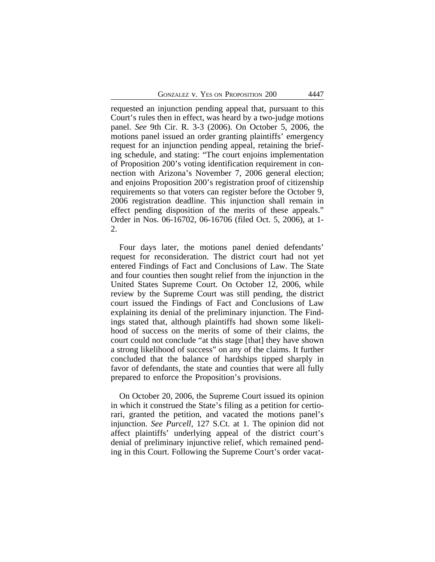requested an injunction pending appeal that, pursuant to this Court's rules then in effect, was heard by a two-judge motions panel. *See* 9th Cir. R. 3-3 (2006). On October 5, 2006, the motions panel issued an order granting plaintiffs' emergency request for an injunction pending appeal, retaining the briefing schedule, and stating: "The court enjoins implementation of Proposition 200's voting identification requirement in connection with Arizona's November 7, 2006 general election; and enjoins Proposition 200's registration proof of citizenship requirements so that voters can register before the October 9, 2006 registration deadline. This injunction shall remain in effect pending disposition of the merits of these appeals." Order in Nos. 06-16702, 06-16706 (filed Oct. 5, 2006), at 1- 2.

Four days later, the motions panel denied defendants' request for reconsideration. The district court had not yet entered Findings of Fact and Conclusions of Law. The State and four counties then sought relief from the injunction in the United States Supreme Court. On October 12, 2006, while review by the Supreme Court was still pending, the district court issued the Findings of Fact and Conclusions of Law explaining its denial of the preliminary injunction. The Findings stated that, although plaintiffs had shown some likelihood of success on the merits of some of their claims, the court could not conclude "at this stage [that] they have shown a strong likelihood of success" on any of the claims. It further concluded that the balance of hardships tipped sharply in favor of defendants, the state and counties that were all fully prepared to enforce the Proposition's provisions.

On October 20, 2006, the Supreme Court issued its opinion in which it construed the State's filing as a petition for certiorari, granted the petition, and vacated the motions panel's injunction. *See Purcell*, 127 S.Ct. at 1. The opinion did not affect plaintiffs' underlying appeal of the district court's denial of preliminary injunctive relief, which remained pending in this Court. Following the Supreme Court's order vacat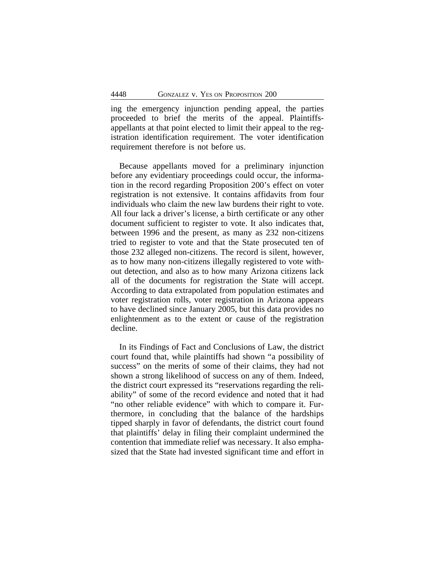ing the emergency injunction pending appeal, the parties proceeded to brief the merits of the appeal. Plaintiffsappellants at that point elected to limit their appeal to the registration identification requirement. The voter identification requirement therefore is not before us.

Because appellants moved for a preliminary injunction before any evidentiary proceedings could occur, the information in the record regarding Proposition 200's effect on voter registration is not extensive. It contains affidavits from four individuals who claim the new law burdens their right to vote. All four lack a driver's license, a birth certificate or any other document sufficient to register to vote. It also indicates that, between 1996 and the present, as many as 232 non-citizens tried to register to vote and that the State prosecuted ten of those 232 alleged non-citizens. The record is silent, however, as to how many non-citizens illegally registered to vote without detection, and also as to how many Arizona citizens lack all of the documents for registration the State will accept. According to data extrapolated from population estimates and voter registration rolls, voter registration in Arizona appears to have declined since January 2005, but this data provides no enlightenment as to the extent or cause of the registration decline.

In its Findings of Fact and Conclusions of Law, the district court found that, while plaintiffs had shown "a possibility of success" on the merits of some of their claims, they had not shown a strong likelihood of success on any of them. Indeed, the district court expressed its "reservations regarding the reliability" of some of the record evidence and noted that it had "no other reliable evidence" with which to compare it. Furthermore, in concluding that the balance of the hardships tipped sharply in favor of defendants, the district court found that plaintiffs' delay in filing their complaint undermined the contention that immediate relief was necessary. It also emphasized that the State had invested significant time and effort in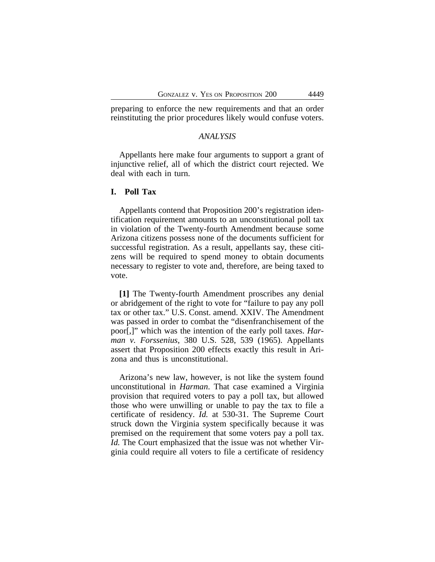preparing to enforce the new requirements and that an order reinstituting the prior procedures likely would confuse voters.

# *ANALYSIS*

Appellants here make four arguments to support a grant of injunctive relief, all of which the district court rejected. We deal with each in turn.

# **I. Poll Tax**

Appellants contend that Proposition 200's registration identification requirement amounts to an unconstitutional poll tax in violation of the Twenty-fourth Amendment because some Arizona citizens possess none of the documents sufficient for successful registration. As a result, appellants say, these citizens will be required to spend money to obtain documents necessary to register to vote and, therefore, are being taxed to vote.

**[1]** The Twenty-fourth Amendment proscribes any denial or abridgement of the right to vote for "failure to pay any poll tax or other tax." U.S. Const. amend. XXIV. The Amendment was passed in order to combat the "disenfranchisement of the poor[,]" which was the intention of the early poll taxes. *Harman v. Forssenius*, 380 U.S. 528, 539 (1965). Appellants assert that Proposition 200 effects exactly this result in Arizona and thus is unconstitutional.

Arizona's new law, however, is not like the system found unconstitutional in *Harman*. That case examined a Virginia provision that required voters to pay a poll tax, but allowed those who were unwilling or unable to pay the tax to file a certificate of residency. *Id.* at 530-31. The Supreme Court struck down the Virginia system specifically because it was premised on the requirement that some voters pay a poll tax. *Id.* The Court emphasized that the issue was not whether Virginia could require all voters to file a certificate of residency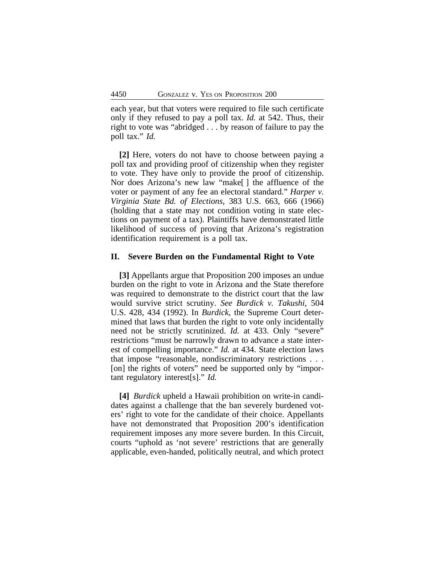each year, but that voters were required to file such certificate only if they refused to pay a poll tax. *Id.* at 542. Thus, their right to vote was "abridged . . . by reason of failure to pay the poll tax." *Id.*

**[2]** Here, voters do not have to choose between paying a poll tax and providing proof of citizenship when they register to vote. They have only to provide the proof of citizenship. Nor does Arizona's new law "make[ ] the affluence of the voter or payment of any fee an electoral standard." *Harper v. Virginia State Bd. of Elections*, 383 U.S. 663, 666 (1966) (holding that a state may not condition voting in state elections on payment of a tax). Plaintiffs have demonstrated little likelihood of success of proving that Arizona's registration identification requirement is a poll tax.

## **II. Severe Burden on the Fundamental Right to Vote**

**[3]** Appellants argue that Proposition 200 imposes an undue burden on the right to vote in Arizona and the State therefore was required to demonstrate to the district court that the law would survive strict scrutiny. *See Burdick v. Takushi*, 504 U.S. 428, 434 (1992). In *Burdick*, the Supreme Court determined that laws that burden the right to vote only incidentally need not be strictly scrutinized. *Id.* at 433. Only "severe" restrictions "must be narrowly drawn to advance a state interest of compelling importance." *Id.* at 434. State election laws that impose "reasonable, nondiscriminatory restrictions . . . [on] the rights of voters" need be supported only by "important regulatory interest[s]." *Id.*

**[4]** *Burdick* upheld a Hawaii prohibition on write-in candidates against a challenge that the ban severely burdened voters' right to vote for the candidate of their choice. Appellants have not demonstrated that Proposition 200's identification requirement imposes any more severe burden. In this Circuit, courts "uphold as 'not severe' restrictions that are generally applicable, even-handed, politically neutral, and which protect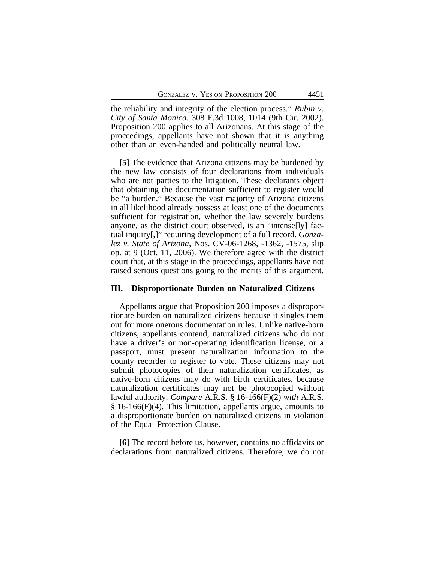the reliability and integrity of the election process." *Rubin v. City of Santa Monica*, 308 F.3d 1008, 1014 (9th Cir. 2002). Proposition 200 applies to all Arizonans. At this stage of the proceedings, appellants have not shown that it is anything other than an even-handed and politically neutral law.

**[5]** The evidence that Arizona citizens may be burdened by the new law consists of four declarations from individuals who are not parties to the litigation. These declarants object that obtaining the documentation sufficient to register would be "a burden." Because the vast majority of Arizona citizens in all likelihood already possess at least one of the documents sufficient for registration, whether the law severely burdens anyone, as the district court observed, is an "intense[ly] factual inquiry[,]" requiring development of a full record. *Gonzalez v. State of Arizona*, Nos. CV-06-1268, -1362, -1575, slip op. at 9 (Oct. 11, 2006). We therefore agree with the district court that, at this stage in the proceedings, appellants have not raised serious questions going to the merits of this argument.

#### **III. Disproportionate Burden on Naturalized Citizens**

Appellants argue that Proposition 200 imposes a disproportionate burden on naturalized citizens because it singles them out for more onerous documentation rules. Unlike native-born citizens, appellants contend, naturalized citizens who do not have a driver's or non-operating identification license, or a passport, must present naturalization information to the county recorder to register to vote. These citizens may not submit photocopies of their naturalization certificates, as native-born citizens may do with birth certificates, because naturalization certificates may not be photocopied without lawful authority. *Compare* A.R.S. § 16-166(F)(2) *with* A.R.S. § 16-166(F)(4). This limitation, appellants argue, amounts to a disproportionate burden on naturalized citizens in violation of the Equal Protection Clause.

**[6]** The record before us, however, contains no affidavits or declarations from naturalized citizens. Therefore, we do not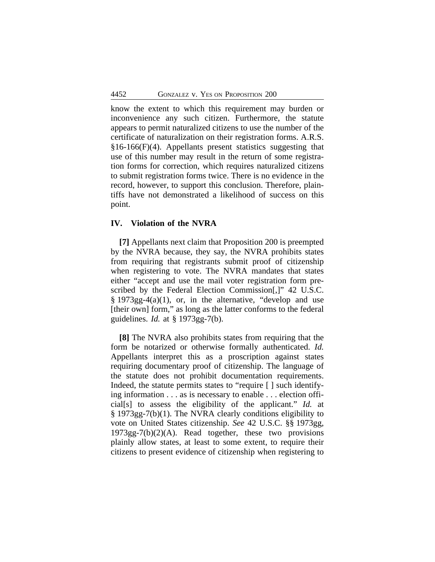know the extent to which this requirement may burden or inconvenience any such citizen. Furthermore, the statute appears to permit naturalized citizens to use the number of the certificate of naturalization on their registration forms. A.R.S. §16-166(F)(4). Appellants present statistics suggesting that use of this number may result in the return of some registration forms for correction, which requires naturalized citizens to submit registration forms twice. There is no evidence in the record, however, to support this conclusion. Therefore, plaintiffs have not demonstrated a likelihood of success on this point.

# **IV. Violation of the NVRA**

**[7]** Appellants next claim that Proposition 200 is preempted by the NVRA because, they say, the NVRA prohibits states from requiring that registrants submit proof of citizenship when registering to vote. The NVRA mandates that states either "accept and use the mail voter registration form prescribed by the Federal Election Commission[,]" 42 U.S.C. § 1973gg-4(a)(1), or, in the alternative, "develop and use [their own] form," as long as the latter conforms to the federal guidelines. *Id.* at § 1973gg-7(b).

**[8]** The NVRA also prohibits states from requiring that the form be notarized or otherwise formally authenticated. *Id.* Appellants interpret this as a proscription against states requiring documentary proof of citizenship. The language of the statute does not prohibit documentation requirements. Indeed, the statute permits states to "require [ ] such identifying information . . . as is necessary to enable . . . election official[s] to assess the eligibility of the applicant." *Id.* at § 1973gg-7(b)(1). The NVRA clearly conditions eligibility to vote on United States citizenship. *See* 42 U.S.C. §§ 1973gg, 1973gg-7(b)(2)(A). Read together, these two provisions plainly allow states, at least to some extent, to require their citizens to present evidence of citizenship when registering to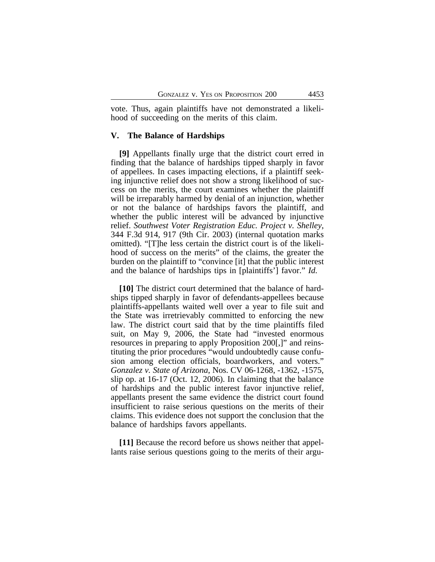vote. Thus, again plaintiffs have not demonstrated a likelihood of succeeding on the merits of this claim.

### **V. The Balance of Hardships**

**[9]** Appellants finally urge that the district court erred in finding that the balance of hardships tipped sharply in favor of appellees. In cases impacting elections, if a plaintiff seeking injunctive relief does not show a strong likelihood of success on the merits, the court examines whether the plaintiff will be irreparably harmed by denial of an injunction, whether or not the balance of hardships favors the plaintiff, and whether the public interest will be advanced by injunctive relief. *Southwest Voter Registration Educ. Project v. Shelley*, 344 F.3d 914, 917 (9th Cir. 2003) (internal quotation marks omitted). "[T]he less certain the district court is of the likelihood of success on the merits" of the claims, the greater the burden on the plaintiff to "convince [it] that the public interest and the balance of hardships tips in [plaintiffs'] favor." *Id.*

**[10]** The district court determined that the balance of hardships tipped sharply in favor of defendants-appellees because plaintiffs-appellants waited well over a year to file suit and the State was irretrievably committed to enforcing the new law. The district court said that by the time plaintiffs filed suit, on May 9, 2006, the State had "invested enormous resources in preparing to apply Proposition 200[,]" and reinstituting the prior procedures "would undoubtedly cause confusion among election officials, boardworkers, and voters." *Gonzalez v. State of Arizona*, Nos. CV 06-1268, -1362, -1575, slip op. at 16-17 (Oct. 12, 2006). In claiming that the balance of hardships and the public interest favor injunctive relief, appellants present the same evidence the district court found insufficient to raise serious questions on the merits of their claims. This evidence does not support the conclusion that the balance of hardships favors appellants.

**[11]** Because the record before us shows neither that appellants raise serious questions going to the merits of their argu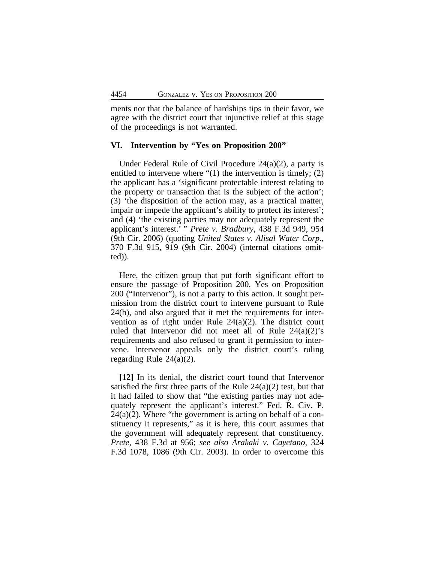ments nor that the balance of hardships tips in their favor, we agree with the district court that injunctive relief at this stage of the proceedings is not warranted.

### **VI. Intervention by "Yes on Proposition 200"**

Under Federal Rule of Civil Procedure 24(a)(2), a party is entitled to intervene where "(1) the intervention is timely; (2) the applicant has a 'significant protectable interest relating to the property or transaction that is the subject of the action'; (3) 'the disposition of the action may, as a practical matter, impair or impede the applicant's ability to protect its interest'; and (4) 'the existing parties may not adequately represent the applicant's interest.' " *Prete v. Bradbury*, 438 F.3d 949, 954 (9th Cir. 2006) (quoting *United States v. Alisal Water Corp.*, 370 F.3d 915, 919 (9th Cir. 2004) (internal citations omitted)).

Here, the citizen group that put forth significant effort to ensure the passage of Proposition 200, Yes on Proposition 200 ("Intervenor"), is not a party to this action. It sought permission from the district court to intervene pursuant to Rule 24(b), and also argued that it met the requirements for intervention as of right under Rule 24(a)(2). The district court ruled that Intervenor did not meet all of Rule 24(a)(2)'s requirements and also refused to grant it permission to intervene. Intervenor appeals only the district court's ruling regarding Rule 24(a)(2).

**[12]** In its denial, the district court found that Intervenor satisfied the first three parts of the Rule  $24(a)(2)$  test, but that it had failed to show that "the existing parties may not adequately represent the applicant's interest." Fed. R. Civ. P.  $24(a)(2)$ . Where "the government is acting on behalf of a constituency it represents," as it is here, this court assumes that the government will adequately represent that constituency. *Prete*, 438 F.3d at 956; *see also Arakaki v. Cayetano*, 324 F.3d 1078, 1086 (9th Cir. 2003). In order to overcome this